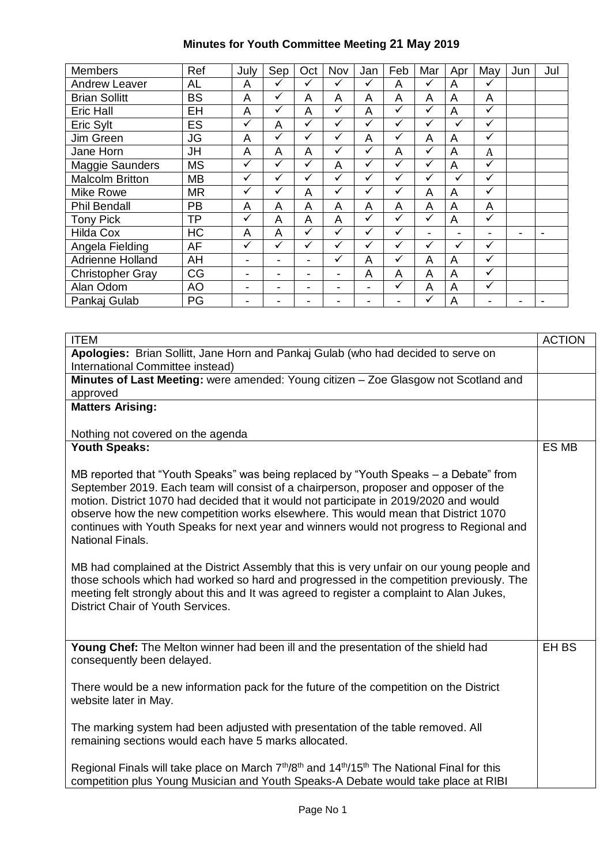## **Minutes for Youth Committee Meeting 21 May 2019**

| <b>Members</b>          | Ref       | July         | Sep          | Oct          | Nov          | Jan          | Feb          | Mar          | Apr                      | May          | Jun | Jul |
|-------------------------|-----------|--------------|--------------|--------------|--------------|--------------|--------------|--------------|--------------------------|--------------|-----|-----|
| <b>Andrew Leaver</b>    | AL        | A            | ✓            | $\checkmark$ | ✓            | $\checkmark$ | A            | $\checkmark$ | A                        | ✓            |     |     |
| <b>Brian Sollitt</b>    | <b>BS</b> | A            | ✓            | A            | A            | A            | A            | A            | A                        | A            |     |     |
| Eric Hall               | EH        | A            | $\checkmark$ | A            | ✓            | A            | $\checkmark$ | $\checkmark$ | A                        | ✓            |     |     |
| Eric Sylt               | ES        | $\checkmark$ | A            | $\checkmark$ | ✓            | $\checkmark$ | ✓            | $\checkmark$ | $\checkmark$             | $\checkmark$ |     |     |
| Jim Green               | <b>JG</b> | A            | ✓            | ✓            | ✓            | A            | $\checkmark$ | A            | A                        | $\checkmark$ |     |     |
| Jane Horn               | JH        | A            | A            | A            | $\checkmark$ | ✓            | A            | $\checkmark$ | A                        | A            |     |     |
| Maggie Saunders         | <b>MS</b> | ✓            | $\checkmark$ | ✓            | A            | $\checkmark$ | $\checkmark$ | $\checkmark$ | A                        | ✓            |     |     |
| <b>Malcolm Britton</b>  | <b>MB</b> | $\checkmark$ | ✓            | ✓            | ✓            | $\checkmark$ | ✓            | $\checkmark$ | ✓                        | ✓            |     |     |
| Mike Rowe               | <b>MR</b> | ✓            | ✓            | A            | ✓            | $\checkmark$ | $\checkmark$ | A            | A                        | ✓            |     |     |
| <b>Phil Bendall</b>     | <b>PB</b> | A            | A            | A            | A            | A            | A            | A            | A                        | A            |     |     |
| <b>Tony Pick</b>        | ТP        | ✓            | A            | A            | A            | $\checkmark$ | $\checkmark$ | $\checkmark$ | A                        | ✓            |     |     |
| <b>Hilda Cox</b>        | <b>HC</b> | A            | A            | $\checkmark$ | ✓            | $\checkmark$ | $\checkmark$ | -            | $\overline{\phantom{a}}$ |              | -   |     |
| Angela Fielding         | AF        | $\checkmark$ | ✓            | $\checkmark$ | ✓            | ✓            | ✓            | $\checkmark$ | ✓                        | $\checkmark$ |     |     |
| Adrienne Holland        | AH        |              |              |              | ✓            | A            | $\checkmark$ | A            | A                        | ✓            |     |     |
| <b>Christopher Gray</b> | CG        |              |              |              | -            | A            | A            | A            | A                        | ✓            |     |     |
| Alan Odom               | <b>AO</b> | -            |              | -            | -            |              | ✓            | A            | A                        | ✓            |     |     |
| Pankaj Gulab            | PG        |              |              |              |              |              | -            | $\checkmark$ | A                        |              |     |     |

| <b>ITEM</b>                                                                                                                                                                                                                                                                                                                                                                                                                                                                                                                                                                         | <b>ACTION</b> |
|-------------------------------------------------------------------------------------------------------------------------------------------------------------------------------------------------------------------------------------------------------------------------------------------------------------------------------------------------------------------------------------------------------------------------------------------------------------------------------------------------------------------------------------------------------------------------------------|---------------|
| Apologies: Brian Sollitt, Jane Horn and Pankaj Gulab (who had decided to serve on                                                                                                                                                                                                                                                                                                                                                                                                                                                                                                   |               |
| International Committee instead)                                                                                                                                                                                                                                                                                                                                                                                                                                                                                                                                                    |               |
| Minutes of Last Meeting: were amended: Young citizen - Zoe Glasgow not Scotland and                                                                                                                                                                                                                                                                                                                                                                                                                                                                                                 |               |
| approved                                                                                                                                                                                                                                                                                                                                                                                                                                                                                                                                                                            |               |
| <b>Matters Arising:</b>                                                                                                                                                                                                                                                                                                                                                                                                                                                                                                                                                             |               |
|                                                                                                                                                                                                                                                                                                                                                                                                                                                                                                                                                                                     |               |
| Nothing not covered on the agenda                                                                                                                                                                                                                                                                                                                                                                                                                                                                                                                                                   |               |
| <b>Youth Speaks:</b>                                                                                                                                                                                                                                                                                                                                                                                                                                                                                                                                                                | ES MB         |
| MB reported that "Youth Speaks" was being replaced by "Youth Speaks - a Debate" from<br>September 2019. Each team will consist of a chairperson, proposer and opposer of the<br>motion. District 1070 had decided that it would not participate in 2019/2020 and would<br>observe how the new competition works elsewhere. This would mean that District 1070<br>continues with Youth Speaks for next year and winners would not progress to Regional and<br><b>National Finals.</b><br>MB had complained at the District Assembly that this is very unfair on our young people and |               |
| those schools which had worked so hard and progressed in the competition previously. The<br>meeting felt strongly about this and It was agreed to register a complaint to Alan Jukes,<br>District Chair of Youth Services.                                                                                                                                                                                                                                                                                                                                                          |               |
| Young Chef: The Melton winner had been ill and the presentation of the shield had<br>consequently been delayed.                                                                                                                                                                                                                                                                                                                                                                                                                                                                     | EH BS         |
| There would be a new information pack for the future of the competition on the District<br>website later in May.                                                                                                                                                                                                                                                                                                                                                                                                                                                                    |               |
| The marking system had been adjusted with presentation of the table removed. All<br>remaining sections would each have 5 marks allocated.                                                                                                                                                                                                                                                                                                                                                                                                                                           |               |
| Regional Finals will take place on March 7 <sup>th</sup> /8 <sup>th</sup> and 14 <sup>th</sup> /15 <sup>th</sup> The National Final for this<br>competition plus Young Musician and Youth Speaks-A Debate would take place at RIBI                                                                                                                                                                                                                                                                                                                                                  |               |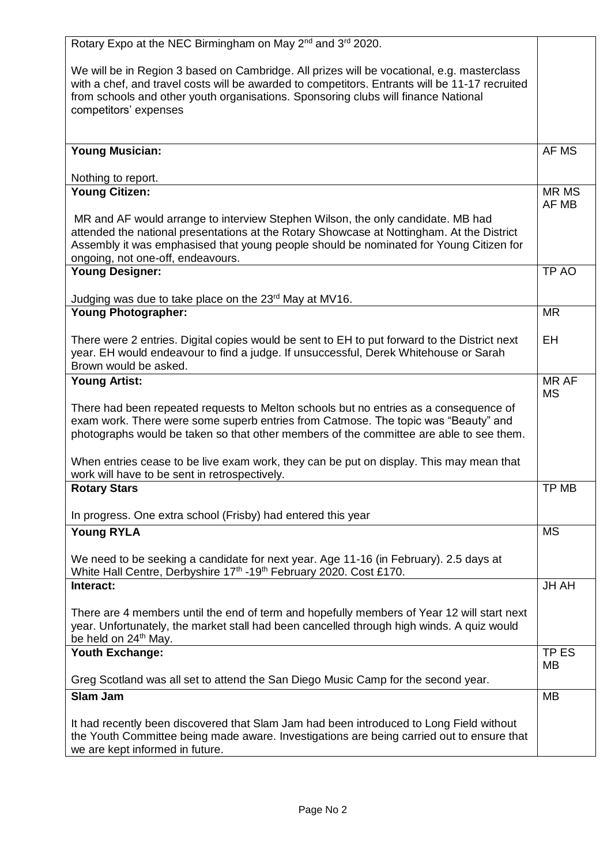| Rotary Expo at the NEC Birmingham on May 2 <sup>nd</sup> and 3 <sup>rd</sup> 2020.                                                                                                                                                                                                 |                       |
|------------------------------------------------------------------------------------------------------------------------------------------------------------------------------------------------------------------------------------------------------------------------------------|-----------------------|
| We will be in Region 3 based on Cambridge. All prizes will be vocational, e.g. masterclass<br>with a chef, and travel costs will be awarded to competitors. Entrants will be 11-17 recruited<br>from schools and other youth organisations. Sponsoring clubs will finance National |                       |
| competitors' expenses                                                                                                                                                                                                                                                              |                       |
| <b>Young Musician:</b>                                                                                                                                                                                                                                                             | AF MS                 |
| Nothing to report.                                                                                                                                                                                                                                                                 |                       |
| <b>Young Citizen:</b><br>MR and AF would arrange to interview Stephen Wilson, the only candidate. MB had                                                                                                                                                                           | <b>MR MS</b><br>AF MB |
| attended the national presentations at the Rotary Showcase at Nottingham. At the District<br>Assembly it was emphasised that young people should be nominated for Young Citizen for<br>ongoing, not one-off, endeavours.                                                           |                       |
| <b>Young Designer:</b>                                                                                                                                                                                                                                                             | TP AO                 |
| Judging was due to take place on the 23 <sup>rd</sup> May at MV16.                                                                                                                                                                                                                 |                       |
| <b>Young Photographer:</b>                                                                                                                                                                                                                                                         | <b>MR</b>             |
| There were 2 entries. Digital copies would be sent to EH to put forward to the District next<br>year. EH would endeavour to find a judge. If unsuccessful, Derek Whitehouse or Sarah<br>Brown would be asked.                                                                      | EH                    |
| <b>Young Artist:</b>                                                                                                                                                                                                                                                               | MR AF<br><b>MS</b>    |
| There had been repeated requests to Melton schools but no entries as a consequence of<br>exam work. There were some superb entries from Catmose. The topic was "Beauty" and<br>photographs would be taken so that other members of the committee are able to see them.             |                       |
| When entries cease to be live exam work, they can be put on display. This may mean that<br>work will have to be sent in retrospectively.                                                                                                                                           |                       |
| <b>Rotary Stars</b>                                                                                                                                                                                                                                                                | TP MB                 |
| In progress. One extra school (Frisby) had entered this year                                                                                                                                                                                                                       |                       |
| <b>Young RYLA</b>                                                                                                                                                                                                                                                                  | <b>MS</b>             |
| We need to be seeking a candidate for next year. Age 11-16 (in February). 2.5 days at<br>White Hall Centre, Derbyshire 17th -19th February 2020. Cost £170.                                                                                                                        |                       |
| Interact:                                                                                                                                                                                                                                                                          | <b>JH AH</b>          |
| There are 4 members until the end of term and hopefully members of Year 12 will start next<br>year. Unfortunately, the market stall had been cancelled through high winds. A quiz would<br>be held on 24 <sup>th</sup> May.                                                        |                       |
| Youth Exchange:                                                                                                                                                                                                                                                                    | TP ES<br>MB           |
| Greg Scotland was all set to attend the San Diego Music Camp for the second year.                                                                                                                                                                                                  |                       |
| <b>Slam Jam</b>                                                                                                                                                                                                                                                                    | <b>MB</b>             |
| It had recently been discovered that Slam Jam had been introduced to Long Field without<br>the Youth Committee being made aware. Investigations are being carried out to ensure that<br>we are kept informed in future.                                                            |                       |